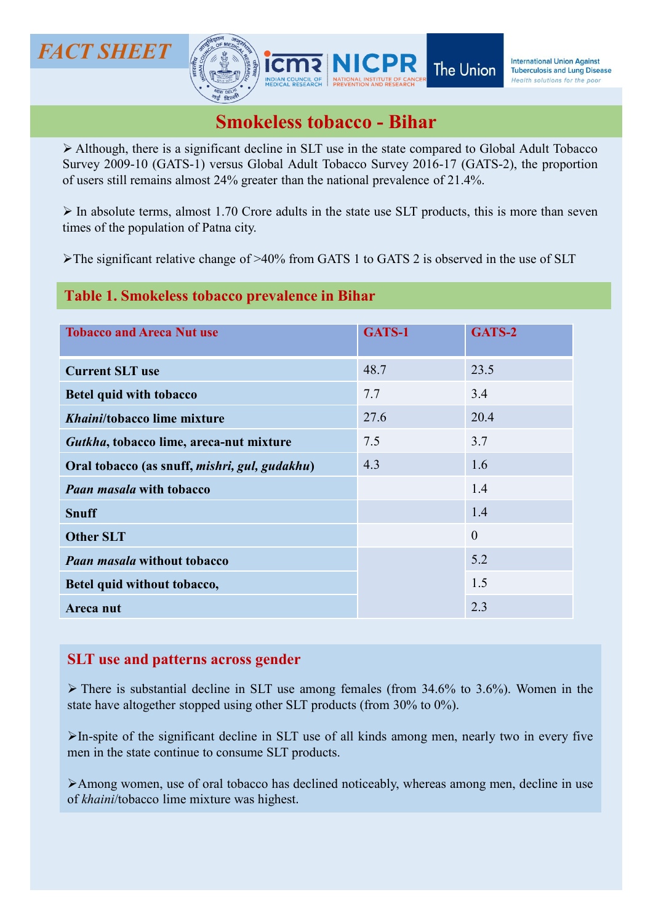**Although, there is a significant decline in SLT use in the state compared to Global Adult Tobacco Survey 2009-10 (GATS-1) versus Global Adult Tobacco Survey 2016-17 (GATS-2), the proportion of users still remains almost SURVE AND SURVEY (SURVEY) SURVEY** (SURVEY) **SURVEY** The Union *International Union Against*<br>
Survey 2009-10 (GATS-1) versus Global Adult Tobacco - **Bihar**<br>
> Although, there is a significant decline in SLT use in the s **CT SHEET**<br> **OF USE CONSUMISM**<br> **OF USE CONSUMISM**<br> **OF USE CONSUMISM**<br> **OF USE CONSUMISM**<br> **OF USE CONSUMISM**<br> **OF USE CONSUMISM**<br> **OF USE CONSUMISM**<br> **OF USE CONSUMISM**<br> **OF USE CONSUMISM**<br> **OF USE CONSUMISM**<br> **OF USE C IN ABSOLUTE THE STATE SUPPERT AND SUPPERT THE UNION THE UNION THE UNION AGAINST THE UNION AGAINST SUPPERT AND SUPPERTUNION OF UNION A CONTRACT AND A SUPPERT AND A SUPPERT AND A SUPPERT OF A SUPPERTY AND A SUPPERTY AND A CT SHEET**<br> **EXECUTE:**<br> **EXECUTE:**<br> **EXECUTE:**<br> **EXECUTE:**<br> **EXECUTE:**<br> **EXECUTE:**<br> **EXECUTE:**<br> **EXECUTE:**<br> **EXECUTE:**<br> **EXECUTE:**<br> **EXECUTE:**<br> **EXECUTE:**<br> **EXECUTE:**<br> **EXECUTE:**<br> **EXECUTE:**<br> **EXECUTE:**<br> **EXECUTE:**<br> **EXEC CT SHEET**<br> **SIMPLET SIMPLET SIMPLET THE UNION CONSUMERED SIMPLET**<br> **SIMPLET SIMPLET SIMPLET** TO DESCRIP THE SAME CONDITION OF USE OF SAME CONDITION OF USES SIMPLET SIMPLET OF GATS 2 is observed in the size of the populat Smokeless tobacco - Bihar<br>
Smokeless tobacco - Bihar<br>
Smokeless tobacco - Bihar<br>
Smokeless tobacco - Bihar<br>
Smokeless tobacco - Bihar<br>
Smokeless tobacco - Bihar<br>
24% greater than the national prevalence of 21.4%.

## Table 1. Smokeless tobacco prevalence in Bihar

FACT SHEET **FACT SHEET** 

| ICT SHEET                                     |                                                                                                                                                                                                                                                                                                       |        | The Union        | <b>International Union Against</b><br><b>Tuberculosis and Lung Disease</b><br>Health solutions for the poor |
|-----------------------------------------------|-------------------------------------------------------------------------------------------------------------------------------------------------------------------------------------------------------------------------------------------------------------------------------------------------------|--------|------------------|-------------------------------------------------------------------------------------------------------------|
|                                               |                                                                                                                                                                                                                                                                                                       |        |                  |                                                                                                             |
|                                               | <b>Smokeless tobacco - Bihar</b>                                                                                                                                                                                                                                                                      |        |                  |                                                                                                             |
|                                               | $\triangleright$ Although, there is a significant decline in SLT use in the state compared to Global Adult Tobacco<br>Survey 2009-10 (GATS-1) versus Global Adult Tobacco Survey 2016-17 (GATS-2), the proportion<br>of users still remains almost 24% greater than the national prevalence of 21.4%. |        |                  |                                                                                                             |
| times of the population of Patna city.        | $\triangleright$ In absolute terms, almost 1.70 Crore adults in the state use SLT products, this is more than seven                                                                                                                                                                                   |        |                  |                                                                                                             |
|                                               | >The significant relative change of >40% from GATS 1 to GATS 2 is observed in the use of SLT                                                                                                                                                                                                          |        |                  |                                                                                                             |
|                                               | Table 1. Smokeless tobacco prevalence in Bihar                                                                                                                                                                                                                                                        |        |                  |                                                                                                             |
| <b>Tobacco and Areca Nut use</b>              |                                                                                                                                                                                                                                                                                                       | GATS-1 | GATS-2           |                                                                                                             |
|                                               |                                                                                                                                                                                                                                                                                                       |        |                  |                                                                                                             |
| <b>Current SLT use</b>                        |                                                                                                                                                                                                                                                                                                       | 48.7   | 23.5             |                                                                                                             |
| <b>Betel quid with tobacco</b>                |                                                                                                                                                                                                                                                                                                       | 7.7    | 3.4              |                                                                                                             |
| Khaini/tobacco lime mixture                   |                                                                                                                                                                                                                                                                                                       | 27.6   | 20.4             |                                                                                                             |
| Gutkha, tobacco lime, areca-nut mixture       |                                                                                                                                                                                                                                                                                                       | 7.5    | 3.7              |                                                                                                             |
| Oral tobacco (as snuff, mishri, gul, gudakhu) |                                                                                                                                                                                                                                                                                                       | 4.3    | 1.6              |                                                                                                             |
| <b>Paan masala with tobacco</b>               |                                                                                                                                                                                                                                                                                                       |        | 1.4              |                                                                                                             |
| <b>Snuff</b>                                  |                                                                                                                                                                                                                                                                                                       |        | 1.4              |                                                                                                             |
| <b>Other SLT</b>                              |                                                                                                                                                                                                                                                                                                       |        | $\boldsymbol{0}$ |                                                                                                             |
| <b>Paan masala without tobacco</b>            |                                                                                                                                                                                                                                                                                                       |        | 5.2              |                                                                                                             |
| Betel quid without tobacco,                   |                                                                                                                                                                                                                                                                                                       |        | 1.5              |                                                                                                             |
| Areca nut                                     |                                                                                                                                                                                                                                                                                                       |        | 2.3              |                                                                                                             |
|                                               |                                                                                                                                                                                                                                                                                                       |        |                  |                                                                                                             |
| <b>SLT</b> use and patterns across gender     |                                                                                                                                                                                                                                                                                                       |        |                  |                                                                                                             |
|                                               | $\triangleright$ There is substantial decline in SLT use among females (from 34.6% to 3.6%). Women in the<br>state have altogether stopped using other SLT products (from 30% to 0%).                                                                                                                 |        |                  |                                                                                                             |
|                                               | $\triangleright$ In-spite of the significant decline in SLT use of all kinds among men, nearly two in every five<br>men in the state continue to consume SLT products.                                                                                                                                |        |                  |                                                                                                             |
| of khaini/tobacco lime mixture was highest.   | >Among women, use of oral tobacco has declined noticeably, whereas among men, decline in use                                                                                                                                                                                                          |        |                  |                                                                                                             |
|                                               |                                                                                                                                                                                                                                                                                                       |        |                  |                                                                                                             |
|                                               |                                                                                                                                                                                                                                                                                                       |        |                  |                                                                                                             |
|                                               |                                                                                                                                                                                                                                                                                                       |        |                  |                                                                                                             |

## SLT use and patterns across gender